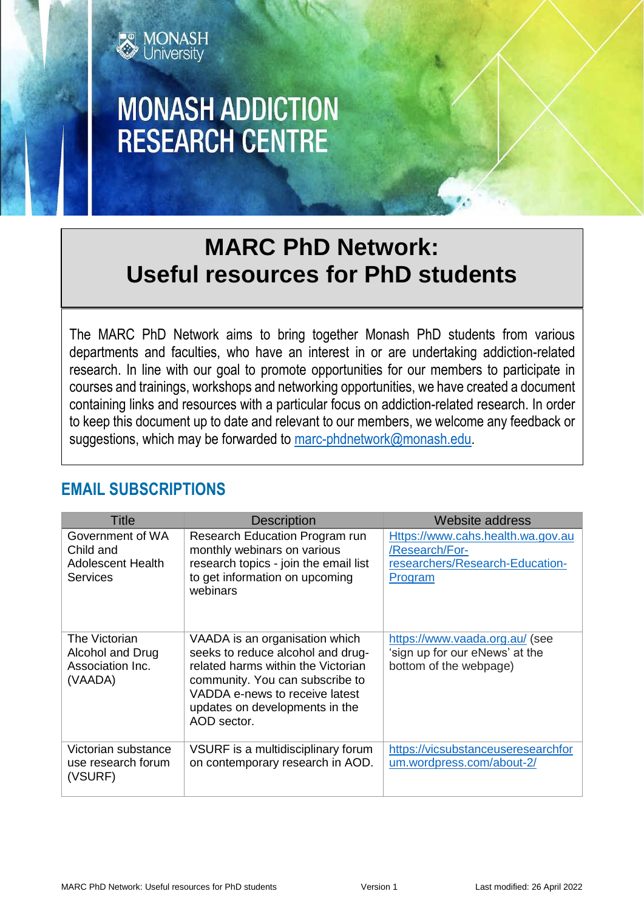

# **MONASH ADDICTION RESEARCH CENTRE**

# **MARC PhD Network: Useful resources for PhD students**

The MARC PhD Network aims to bring together Monash PhD students from various departments and faculties, who have an interest in or are undertaking addiction-related research. In line with our goal to promote opportunities for our members to participate in courses and trainings, workshops and networking opportunities, we have created a document containing links and resources with a particular focus on addiction-related research. In order to keep this document up to date and relevant to our members, we welcome any feedback or suggestions, which may be forwarded to [marc-phdnetwork@monash.edu.](mailto:marc-phdnetwork@monash.edu)

| <b>Title</b>                                                          | <b>Description</b>                                                                                                                                                                                                              | Website address                                                                                   |
|-----------------------------------------------------------------------|---------------------------------------------------------------------------------------------------------------------------------------------------------------------------------------------------------------------------------|---------------------------------------------------------------------------------------------------|
| Government of WA<br>Child and<br><b>Adolescent Health</b><br>Services | Research Education Program run<br>monthly webinars on various<br>research topics - join the email list<br>to get information on upcoming<br>webinars                                                                            | Https://www.cahs.health.wa.gov.au<br>/Research/For-<br>researchers/Research-Education-<br>Program |
| The Victorian<br>Alcohol and Drug<br>Association Inc.<br>(VAADA)      | VAADA is an organisation which<br>seeks to reduce alcohol and drug-<br>related harms within the Victorian<br>community. You can subscribe to<br>VADDA e-news to receive latest<br>updates on developments in the<br>AOD sector. | https://www.vaada.org.au/ (see<br>'sign up for our eNews' at the<br>bottom of the webpage)        |
| Victorian substance<br>use research forum<br>(VSURF)                  | VSURF is a multidisciplinary forum<br>on contemporary research in AOD.                                                                                                                                                          | https://vicsubstanceuseresearchfor<br>um.wordpress.com/about-2/                                   |

#### **EMAIL SUBSCRIPTIONS**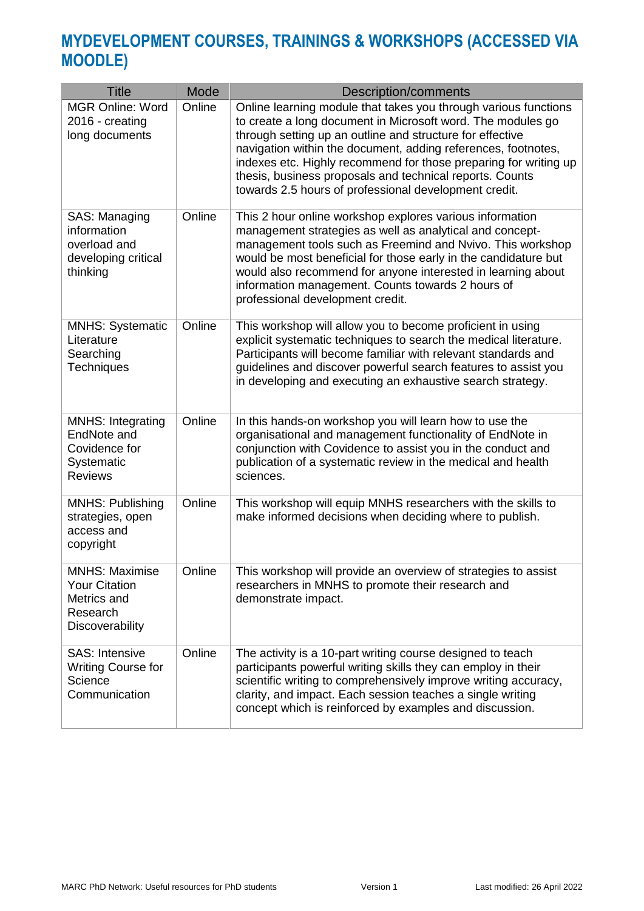### **MYDEVELOPMENT COURSES, TRAININGS & WORKSHOPS (ACCESSED VIA MOODLE)**

| <b>Title</b>                                                                                | Mode   | <b>Description/comments</b>                                                                                                                                                                                                                                                                                                                                                                                                                           |
|---------------------------------------------------------------------------------------------|--------|-------------------------------------------------------------------------------------------------------------------------------------------------------------------------------------------------------------------------------------------------------------------------------------------------------------------------------------------------------------------------------------------------------------------------------------------------------|
| <b>MGR Online: Word</b><br>2016 - creating<br>long documents                                | Online | Online learning module that takes you through various functions<br>to create a long document in Microsoft word. The modules go<br>through setting up an outline and structure for effective<br>navigation within the document, adding references, footnotes,<br>indexes etc. Highly recommend for those preparing for writing up<br>thesis, business proposals and technical reports. Counts<br>towards 2.5 hours of professional development credit. |
| SAS: Managing<br>information<br>overload and<br>developing critical<br>thinking             | Online | This 2 hour online workshop explores various information<br>management strategies as well as analytical and concept-<br>management tools such as Freemind and Nvivo. This workshop<br>would be most beneficial for those early in the candidature but<br>would also recommend for anyone interested in learning about<br>information management. Counts towards 2 hours of<br>professional development credit.                                        |
| <b>MNHS: Systematic</b><br>Literature<br>Searching<br><b>Techniques</b>                     | Online | This workshop will allow you to become proficient in using<br>explicit systematic techniques to search the medical literature.<br>Participants will become familiar with relevant standards and<br>guidelines and discover powerful search features to assist you<br>in developing and executing an exhaustive search strategy.                                                                                                                       |
| <b>MNHS: Integrating</b><br>EndNote and<br>Covidence for<br>Systematic<br><b>Reviews</b>    | Online | In this hands-on workshop you will learn how to use the<br>organisational and management functionality of EndNote in<br>conjunction with Covidence to assist you in the conduct and<br>publication of a systematic review in the medical and health<br>sciences.                                                                                                                                                                                      |
| <b>MNHS: Publishing</b><br>strategies, open<br>access and<br>copyright                      | Online | This workshop will equip MNHS researchers with the skills to<br>make informed decisions when deciding where to publish.                                                                                                                                                                                                                                                                                                                               |
| <b>MNHS: Maximise</b><br><b>Your Citation</b><br>Metrics and<br>Research<br>Discoverability | Online | This workshop will provide an overview of strategies to assist<br>researchers in MNHS to promote their research and<br>demonstrate impact.                                                                                                                                                                                                                                                                                                            |
| <b>SAS: Intensive</b><br>Writing Course for<br>Science<br>Communication                     | Online | The activity is a 10-part writing course designed to teach<br>participants powerful writing skills they can employ in their<br>scientific writing to comprehensively improve writing accuracy,<br>clarity, and impact. Each session teaches a single writing<br>concept which is reinforced by examples and discussion.                                                                                                                               |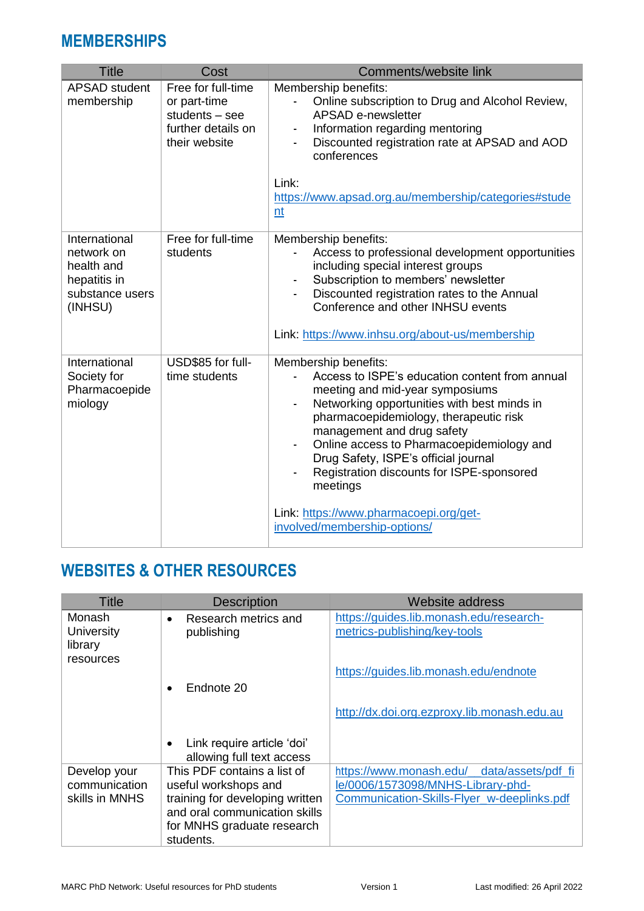#### **MEMBERSHIPS**

| <b>Title</b>                                                                            | Cost                                                                                          | Comments/website link                                                                                                                                                                                                                                                                                                                                                                                                                                                                          |
|-----------------------------------------------------------------------------------------|-----------------------------------------------------------------------------------------------|------------------------------------------------------------------------------------------------------------------------------------------------------------------------------------------------------------------------------------------------------------------------------------------------------------------------------------------------------------------------------------------------------------------------------------------------------------------------------------------------|
| <b>APSAD</b> student<br>membership                                                      | Free for full-time<br>or part-time<br>students $-$ see<br>further details on<br>their website | Membership benefits:<br>Online subscription to Drug and Alcohol Review,<br>÷,<br><b>APSAD e-newsletter</b><br>Information regarding mentoring<br>$\overline{\phantom{a}}$<br>Discounted registration rate at APSAD and AOD<br>conferences                                                                                                                                                                                                                                                      |
|                                                                                         |                                                                                               | Link:<br>https://www.apsad.org.au/membership/categories#stude<br>nt                                                                                                                                                                                                                                                                                                                                                                                                                            |
| International<br>network on<br>health and<br>hepatitis in<br>substance users<br>(INHSU) | Free for full-time<br>students                                                                | Membership benefits:<br>Access to professional development opportunities<br>including special interest groups<br>Subscription to members' newsletter<br>Discounted registration rates to the Annual<br>$\blacksquare$<br>Conference and other INHSU events<br>Link: https://www.inhsu.org/about-us/membership                                                                                                                                                                                  |
| International<br>Society for<br>Pharmacoepide<br>miology                                | USD\$85 for full-<br>time students                                                            | Membership benefits:<br>Access to ISPE's education content from annual<br>meeting and mid-year symposiums<br>Networking opportunities with best minds in<br>$\qquad \qquad \blacksquare$<br>pharmacoepidemiology, therapeutic risk<br>management and drug safety<br>Online access to Pharmacoepidemiology and<br>ä,<br>Drug Safety, ISPE's official journal<br>Registration discounts for ISPE-sponsored<br>meetings<br>Link: https://www.pharmacoepi.org/get-<br>involved/membership-options/ |

## **WEBSITES & OTHER RESOURCES**

| <b>Title</b>                                    | <b>Description</b>                                                                                                                                                 | Website address                                                                                                               |
|-------------------------------------------------|--------------------------------------------------------------------------------------------------------------------------------------------------------------------|-------------------------------------------------------------------------------------------------------------------------------|
| Monash<br>University<br>library<br>resources    | Research metrics and<br>$\bullet$<br>publishing                                                                                                                    | https://guides.lib.monash.edu/research-<br>metrics-publishing/key-tools                                                       |
|                                                 | Endnote 20<br>$\bullet$                                                                                                                                            | https://guides.lib.monash.edu/endnote                                                                                         |
|                                                 | Link require article 'doi'<br>$\bullet$<br>allowing full text access                                                                                               | http://dx.doi.org.ezproxy.lib.monash.edu.au                                                                                   |
| Develop your<br>communication<br>skills in MNHS | This PDF contains a list of<br>useful workshops and<br>training for developing written<br>and oral communication skills<br>for MNHS graduate research<br>students. | https://www.monash.edu/ data/assets/pdf fi<br>le/0006/1573098/MNHS-Library-phd-<br>Communication-Skills-Flyer w-deeplinks.pdf |